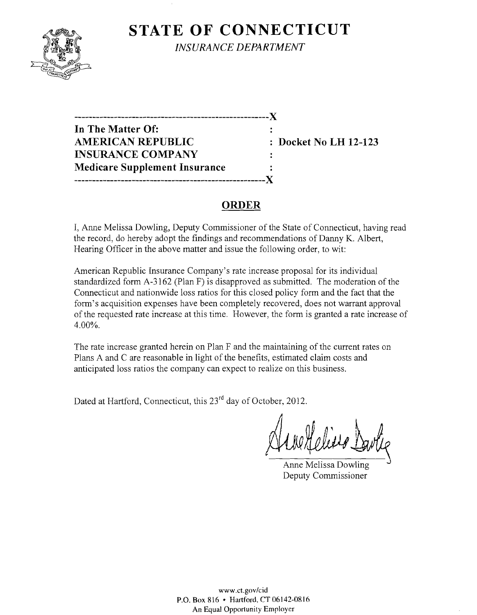# **STATE OF CONNECTICUT**



*INSURANCE DEPARTMENT* 

**------------------------------------------------------)( In The Matter Of:**  AMERICAN REPUBLIC : Docket No LH 12-123 **INSURANCE COMPANY Medicare Supplement Insurance**  ------------------------Y

## **ORDER**

I, Anne Melissa Dowling, Deputy Commissioner of the State of Connecticut, having read the record, do hereby adopt the findings and recommendations of Danny K. Albert, Hearing Officer in the above matter and issue the following order, to wit:

American Republic Insurance Company's rate increase proposal for its individual standardized form A-3162 (Plan F) is disapproved as submitted. The moderation of the Connecticut and nationwide loss ratios for this closed policy form and the fact that the form's acquisition expenses have been completely recovered, does not warrant approval of the requested rate increase at this time. However, the form is granted a rate increase of 4.00%.

The rate increase granted herein on Plan F and the maintaining of the current rates on Plans A and C are reasonable in light of the benefits, estimated claim costs and anticipated loss ratios the company can expect to realize on this business.

Dated at Hartford, Connecticut, this 23<sup>rd</sup> day of October, 2012.

Anne Melissa Dowling Deputy Commissioner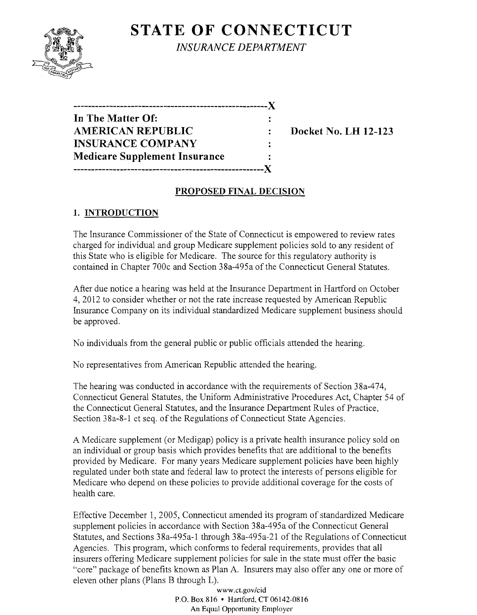**STATE OF CONNECTICUT** *INSURANCE DEPARTMENT* 

| -----------------                    |  |
|--------------------------------------|--|
| In The Matter Of:                    |  |
| <b>AMERICAN REPUBLIC</b>             |  |
| <b>INSURANCE COMPANY</b>             |  |
| <b>Medicare Supplement Insurance</b> |  |
| --------------                       |  |

**Docket No. LH 12-123** 

## **PROPOSED FINAL DECISION**

# **1. INTRODUCTION**

The Insurance Commissioner of the State of Connecticut is empowered to review rates charged for individual and group Medicare supplement policies sold to any resident of this State who is eligible for Medicare. The source for this regulatory authority is contained in Chapter 700c and Section 38a-495a of the Connecticut General Statutes.

After due notice a hearing was held at the Insurance Department in Hartford on October 4,2012 to consider whether or not the rate increase requested by American Republic Insurance Company on its individual standardized Medicare supplement business should be approved.

No individuals from the general public or public officials attended the hearing.

No representatives from American Republic attended the hearing.

The hearing was conducted in accordance with the requirements of Section 38a-474, Connecticut General Statutes, the Uniform Administrative Procedures Act, Chapter 54 of the Connecticut General Statutes, and the Insurance Department Rules of Practice, Section 38a-8-1 et seq. of the Regulations of Connecticut State Agencies.

A Medicare supplement (or Medigap) policy is a private health insurance policy sold on an individual or group basis which provides benefits that are additional to the benefits provided by Medicare. For many years Medicare supplement policies have been highly regulated under both state and federal law to protect the interests of persons eligible for Medicare who depend on these policies to provide additional coverage for the costs of health care.

Effective December 1, 2005, Connecticut amended its program of standardized Medicare supplement policies in accordance with Section 38a-495a of the Connecticut General Statutes, and Sections 38a-495a-l through 38a-495a-21 of the Regulations of Connecticut Agencies. This program, which conforms to federal requirements, provides that all insurers offering Medicare supplement policies for sale in the state must offer the basic "core" package of benefits known as Plan A. Insurers may also offer anyone or more of eleven other plans (Plans B through L).

www.CLgov/cid P.O. Box 816 • Hartford, CT 06142-0816 An Equal Opportunity Employer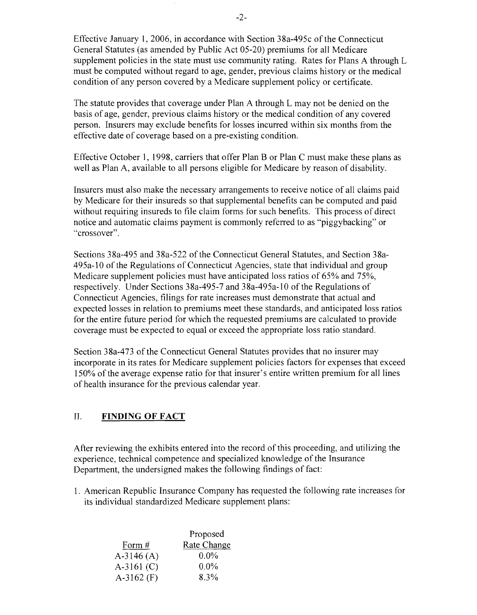Effective January **1,2006,** in accordance with Section 38a-495c of the Connecticut General Statutes (as amended by Public Act 05-20) premiums for all Medicare supplement policies in the state must use community rating. Rates for Plans A through L must be computed without regard to age, gender, previous claims history or the medical condition of any person covered by a Medicare supplement policy or certificate.

The statute provides that coverage under Plan A through L may not be denied on the basis of age, gender, previous claims history or the medical condition of any covered person. Insurers may exclude benefits for losses incurred within six months from the effective date of coverage based on a pre-existing condition.

Effective October 1, 1998, carriers that offer Plan B or Plan C must make these plans as well as Plan A, available to all persons eligible for Medicare by reason of disability.

Insurers must also make the necessary arrangements to receive notice of all claims paid by Medicare for their insureds so that supplemental benefits can be computed and paid without requiring insureds to file claim forms for such benefits. This process of direct notice and automatic claims payment is commonly referred to as "piggybacking" or "crossover".

Sections 38a-495 and 38a-522 of the Connecticut General Statutes, and Section 38a-495a-10 of the Regulations of Connecticut Agencies, state that individual and group Medicare supplement policies must have anticipated loss ratios of 65% and 75%, respectively. Under Sections 38a-495-7 and 38a-495a-10 of the Regulations of Connecticut Agencies, filings for rate increases must demonstrate that actual and expected losses in relation to premiums meet these standards, and anticipated loss ratios for the entire future period for which the requested premiums are calculated to provide coverage must be expected to equal or exceed the appropriate loss ratio standard.

Section 38a-473 of the Connecticut General Statutes provides that no insurer may incorporate in its rates for Medicare supplement policies factors for expenses that exceed 150% of the average expense ratio for that insurer's entire written premium for all lines of health insurance for the previous calendar year.

#### II. **FINDING OF FACT**

After reviewing the exhibits entered into the record of this proceeding, and utilizing the experience, technical competence and specialized knowledge of the Insurance Department, the undersigned makes the following findings of fact:

1. American Republic Insurance Company has requested the following rate increases for its individual standardized Medicare supplement plans:

|              | Proposed    |
|--------------|-------------|
| Form #       | Rate Change |
| $A-3146(A)$  | $0.0\%$     |
| $A-3161$ (C) | $0.0\%$     |
| A-3162 $(F)$ | 8.3%        |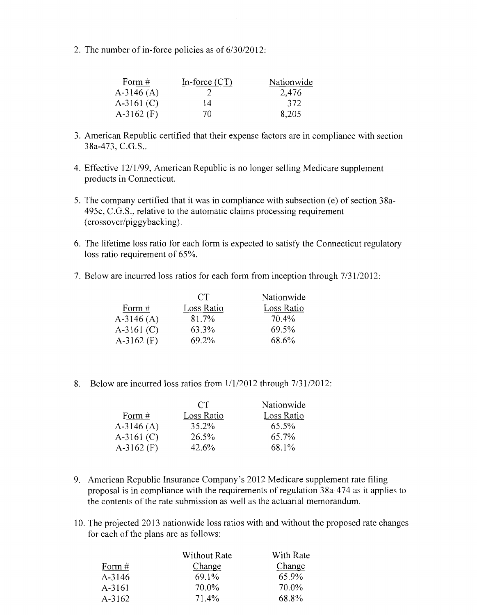2. The number of in-force policies as of 6/30/2012:

| Form $#$     | In-force $(CT)$ | Nationwide |
|--------------|-----------------|------------|
| $A-3146(A)$  |                 | 2,476      |
| $A-3161$ (C) | 14              | 372        |
| $A-3162$ (F) | 70              | 8,205      |

- 3. American Republic certified that their expense factors are in compliance with section 38a-473, C.G.S..
- 4. Effective 12/1/99, American Republic is no longer selling Medicare supplement products in Connecticut.
- 5. The company certified that it was in compliance with subsection (e) of section 38a-495c, C.G.S., relative to the automatic claims processing requirement (crossover/piggybacking).
- 6. The lifetime loss ratio for each form is expected to satisfy the Connecticut regulatory loss ratio requirement of 65%.
- 7. Below are incurred loss ratios for each form from inception through  $7/31/2012$ :

|              | CT         | Nationwide |
|--------------|------------|------------|
| Form $#$     | Loss Ratio | Loss Ratio |
| $A-3146(A)$  | 81.7%      | 70.4%      |
| $A-3161$ (C) | 63.3%      | 69.5%      |
| $A-3162$ (F) | 69.2%      | 68.6%      |

8. Below are incurred loss ratios from  $1/1/2012$  through  $7/31/2012$ :

|              | CT.        | Nationwide |
|--------------|------------|------------|
| Form #       | Loss Ratio | Loss Ratio |
| $A-3146(A)$  | 35.2%      | 65.5%      |
| $A-3161(C)$  | 26.5%      | 65.7%      |
| $A-3162$ (F) | 42.6%      | 68.1%      |

- 9. American Republic Insurance Company's 2012 Medicare supplement rate filing proposal is in compliance with the requirements of regulation 38a-474 as it applies to the contents of the rate submission as well as the actuarial memorandum.
- 10. The projected 2013 nationwide loss ratios with and without the proposed rate changes for each of the plans are as follows:

| <b>Without Rate</b> | With Rate |
|---------------------|-----------|
| Change              | Change    |
| 69.1%               | 65.9%     |
| 70.0%               | 70.0%     |
| 71.4%               | 68.8%     |
|                     |           |